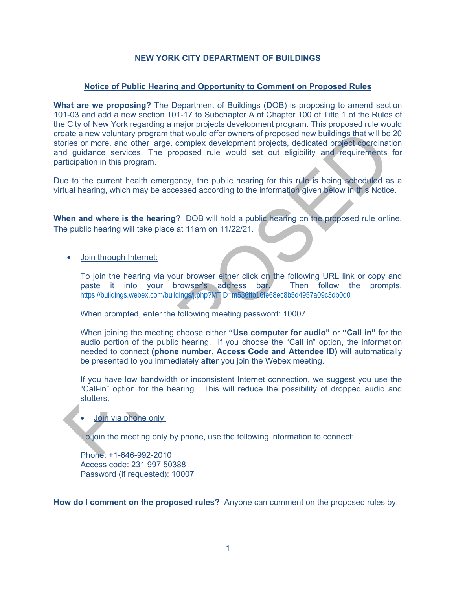# **NEW YORK CITY DEPARTMENT OF BUILDINGS**

## **Notice of Public Hearing and Opportunity to Comment on Proposed Rules**

State a new voluntary program that would offer owners of proposed new voluntings that will be 20<br>
ories or more, and other large, complex development projets, dedicated project coordination<br>
diguidance services. The propos **What are we proposing?** The Department of Buildings (DOB) is proposing to amend section 101-03 and add a new section 101-17 to Subchapter A of Chapter 100 of Title 1 of the Rules of the City of New York regarding a major projects development program. This proposed rule would create a new voluntary program that would offer owners of proposed new buildings that will be 20 stories or more, and other large, complex development projects, dedicated project coordination and guidance services. The proposed rule would set out eligibility and requirements for participation in this program.

Due to the current health emergency, the public hearing for this rule is being scheduled as a virtual hearing, which may be accessed according to the information given below in this Notice.

**When and where is the hearing?** DOB will hold a public hearing on the proposed rule online. The public hearing will take place at 11am on 11/22/21.

Join through Internet:

To join the hearing via your browser either click on the following URL link or copy and paste it into your browser's address bar. Then follow the prompts. https://buildings.webex.com/buildings/j.php?MTID=m536ffb16fe68ec8b5d4957a09c3db0d0

When prompted, enter the following meeting password: 10007

When joining the meeting choose either **"Use computer for audio"** or **"Call in"** for the audio portion of the public hearing. If you choose the "Call in" option, the information needed to connect **(phone number, Access Code and Attendee ID)** will automatically be presented to you immediately **after** you join the Webex meeting.

If you have low bandwidth or inconsistent Internet connection, we suggest you use the "Call-in" option for the hearing. This will reduce the possibility of dropped audio and stutters.

# Join via phone only:

To join the meeting only by phone, use the following information to connect:

Phone: +1-646-992-2010 Access code: 231 997 50388 Password (if requested): 10007

**How do I comment on the proposed rules?** Anyone can comment on the proposed rules by: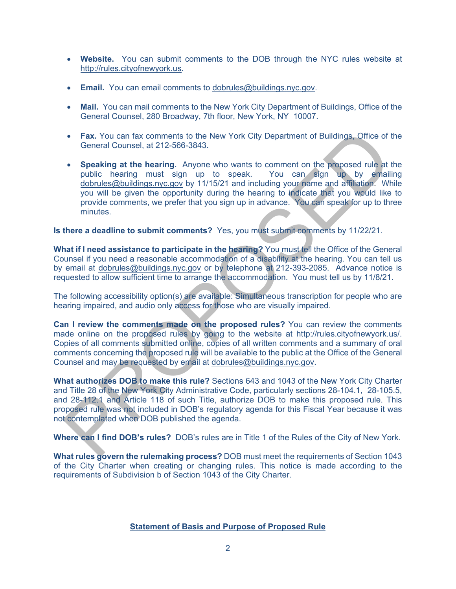- **Website.** You can submit comments to the DOB through the NYC rules website at http://rules.cityofnewyork.us.
- **Email.** You can email comments to dobrules@buildings.nyc.gov.
- **Mail.** You can mail comments to the New York City Department of Buildings, Office of the General Counsel, 280 Broadway, 7th floor, New York, NY 10007.
- **Fax.** You can fax comments to the New York City Department of Buildings, Office of the General Counsel, at 212-566-3843.
- Fax. You can fax comments to the New York City Department of Buildings. Office of the<br>
General Counsel, at 212-566-3643.<br>
 Speaking at the hearing must sign up to speak. You can sign up by equaling<br>
by containing provid **Speaking at the hearing.** Anyone who wants to comment on the proposed rule at the public hearing must sign up to speak. You can sign up by emailing dobrules@buildings.nyc.gov by 11/15/21 and including your name and affiliation. While you will be given the opportunity during the hearing to indicate that you would like to provide comments, we prefer that you sign up in advance. You can speak for up to three minutes.

#### **Is there a deadline to submit comments?** Yes, you must submit comments by 11/22/21.

**What if I need assistance to participate in the hearing?** You must tell the Office of the General Counsel if you need a reasonable accommodation of a disability at the hearing. You can tell us by email at dobrules@buildings.nyc.gov or by telephone at 212-393-2085. Advance notice is requested to allow sufficient time to arrange the accommodation. You must tell us by 11/8/21.

The following accessibility option(s) are available: Simultaneous transcription for people who are hearing impaired, and audio only access for those who are visually impaired.

**Can I review the comments made on the proposed rules?** You can review the comments made online on the proposed rules by going to the website at http://rules.cityofnewyork.us/. Copies of all comments submitted online, copies of all written comments and a summary of oral comments concerning the proposed rule will be available to the public at the Office of the General Counsel and may be requested by email at dobrules@buildings.nyc.gov.

**What authorizes DOB to make this rule?** Sections 643 and 1043 of the New York City Charter and Title 28 of the New York City Administrative Code, particularly sections 28-104.1, 28-105.5, and 28-112.1 and Article 118 of such Title, authorize DOB to make this proposed rule. This proposed rule was not included in DOB's regulatory agenda for this Fiscal Year because it was not contemplated when DOB published the agenda.

**Where can I find DOB's rules?** DOB's rules are in Title 1 of the Rules of the City of New York.

**What rules govern the rulemaking process?** DOB must meet the requirements of Section 1043 of the City Charter when creating or changing rules. This notice is made according to the requirements of Subdivision b of Section 1043 of the City Charter.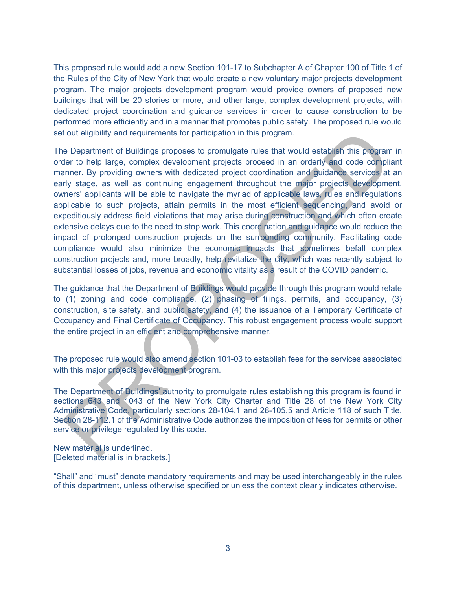This proposed rule would add a new Section 101-17 to Subchapter A of Chapter 100 of Title 1 of the Rules of the City of New York that would create a new voluntary major projects development program. The major projects development program would provide owners of proposed new buildings that will be 20 stories or more, and other large, complex development projects, with dedicated project coordination and guidance services in order to cause construction to be performed more efficiently and in a manner that promotes public safety. The proposed rule would set out eligibility and requirements for participation in this program.

to deligibility and requirements for participation in this program.<br>
to Department of Buildings proposes to promulgate rules that would establish this program in<br>
the to help large, complex development projects proceed in The Department of Buildings proposes to promulgate rules that would establish this program in order to help large, complex development projects proceed in an orderly and code compliant manner. By providing owners with dedicated project coordination and guidance services at an early stage, as well as continuing engagement throughout the major projects development, owners' applicants will be able to navigate the myriad of applicable laws, rules and regulations applicable to such projects, attain permits in the most efficient sequencing, and avoid or expeditiously address field violations that may arise during construction and which often create extensive delays due to the need to stop work. This coordination and guidance would reduce the impact of prolonged construction projects on the surrounding community. Facilitating code compliance would also minimize the economic impacts that sometimes befall complex construction projects and, more broadly, help revitalize the city, which was recently subject to substantial losses of jobs, revenue and economic vitality as a result of the COVID pandemic.

The guidance that the Department of Buildings would provide through this program would relate to (1) zoning and code compliance, (2) phasing of filings, permits, and occupancy, (3) construction, site safety, and public safety, and (4) the issuance of a Temporary Certificate of Occupancy and Final Certificate of Occupancy. This robust engagement process would support the entire project in an efficient and comprehensive manner.

The proposed rule would also amend section 101-03 to establish fees for the services associated with this major projects development program.

The Department of Buildings' authority to promulgate rules establishing this program is found in sections 643 and 1043 of the New York City Charter and Title 28 of the New York City Administrative Code, particularly sections 28-104.1 and 28-105.5 and Article 118 of such Title. Section 28-112.1 of the Administrative Code authorizes the imposition of fees for permits or other service or privilege regulated by this code.

New material is underlined. [Deleted material is in brackets.]

"Shall" and "must" denote mandatory requirements and may be used interchangeably in the rules of this department, unless otherwise specified or unless the context clearly indicates otherwise.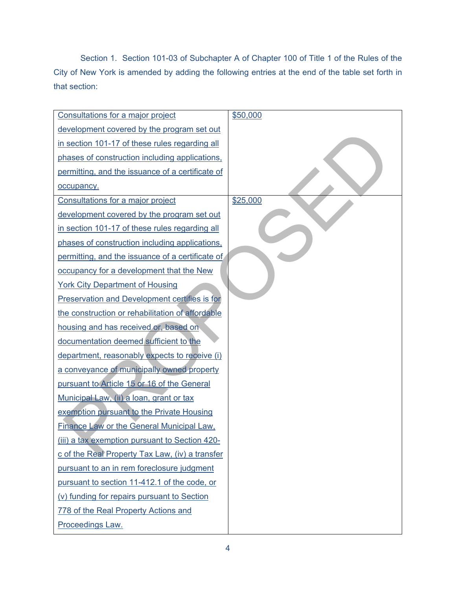Section 1. Section 101-03 of Subchapter A of Chapter 100 of Title 1 of the Rules of the City of New York is amended by adding the following entries at the end of the table set forth in that section:

| Consultations for a major project                    | \$50,000 |
|------------------------------------------------------|----------|
| development covered by the program set out           |          |
| in section 101-17 of these rules regarding all       |          |
| phases of construction including applications,       |          |
| permitting, and the issuance of a certificate of     |          |
| occupancy.                                           |          |
| Consultations for a major project                    | \$25,000 |
| development covered by the program set out           |          |
| in section 101-17 of these rules regarding all       |          |
| phases of construction including applications,       |          |
| permitting, and the issuance of a certificate of     |          |
| occupancy for a development that the New             |          |
| <b>York City Department of Housing</b>               |          |
| <b>Preservation and Development certifies is for</b> |          |
| the construction or rehabilitation of affordable     |          |
| housing and has received or, based on                |          |
| documentation deemed sufficient to the               |          |
| department, reasonably expects to receive (i)        |          |
| a conveyance of municipally owned property           |          |
| pursuant to Article 15 or 16 of the General          |          |
| Municipal Law, (ii) a loan, grant or tax             |          |
| exemption pursuant to the Private Housing            |          |
| <b>Finance Law or the General Municipal Law.</b>     |          |
| (iii) a tax exemption pursuant to Section 420-       |          |
| c of the Real Property Tax Law, (iv) a transfer      |          |
| pursuant to an in rem foreclosure judgment           |          |
| pursuant to section 11-412.1 of the code, or         |          |
| (v) funding for repairs pursuant to Section          |          |
| 778 of the Real Property Actions and                 |          |
| Proceedings Law.                                     |          |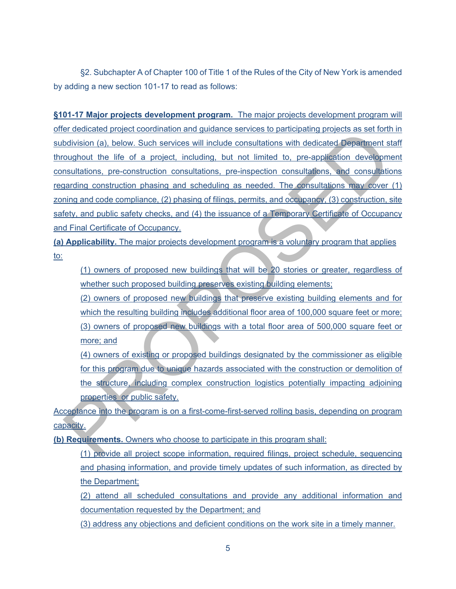§2. Subchapter A of Chapter 100 of Title 1 of the Rules of the City of New York is amended by adding a new section 101-17 to read as follows:

in detailed professor command qualitations with distinct and products are the measurements of the measurement state of the state of the project, including, but not limited to pre-application development and the life of a p **§101-17 Major projects development program.** The major projects development program will offer dedicated project coordination and guidance services to participating projects as set forth in subdivision (a), below. Such services will include consultations with dedicated Department staff throughout the life of a project, including, but not limited to, pre-application development consultations, pre-construction consultations, pre-inspection consultations, and consultations regarding construction phasing and scheduling as needed. The consultations may cover (1) zoning and code compliance, (2) phasing of filings, permits, and occupancy, (3) construction, site safety, and public safety checks, and (4) the issuance of a Temporary Certificate of Occupancy and Final Certificate of Occupancy.

**(a) Applicability.** The major projects development program is a voluntary program that applies to:

(1) owners of proposed new buildings that will be 20 stories or greater, regardless of whether such proposed building preserves existing building elements;

(2) owners of proposed new buildings that preserve existing building elements and for which the resulting building includes additional floor area of 100,000 square feet or more; (3) owners of proposed new buildings with a total floor area of 500,000 square feet or more; and

(4) owners of existing or proposed buildings designated by the commissioner as eligible for this program due to unique hazards associated with the construction or demolition of the structure, including complex construction logistics potentially impacting adjoining properties or public safety.

Acceptance into the program is on a first-come-first-served rolling basis, depending on program capacity.

**(b) Requirements.** Owners who choose to participate in this program shall:

(1) provide all project scope information, required filings, project schedule, sequencing and phasing information, and provide timely updates of such information, as directed by the Department;

(2) attend all scheduled consultations and provide any additional information and documentation requested by the Department; and

(3) address any objections and deficient conditions on the work site in a timely manner.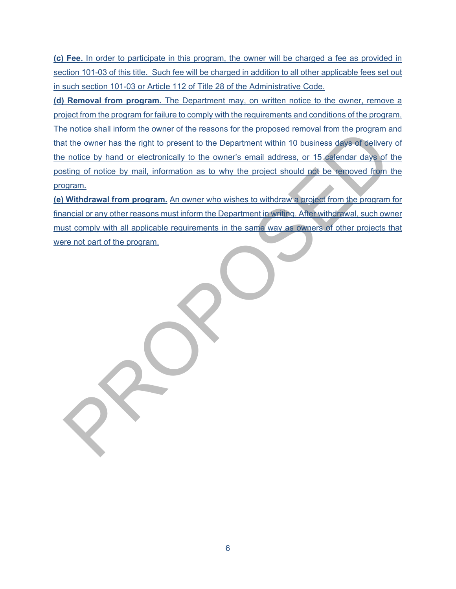**(c) Fee.** In order to participate in this program, the owner will be charged a fee as provided in section 101-03 of this title. Such fee will be charged in addition to all other applicable fees set out in such section 101-03 or Article 112 of Title 28 of the Administrative Code.

entations and the owner has the right to present to the Department within 10 business days of delivery of<br>the owner has the right to present to the Department within 10 business days of delivery of<br>protice by hand or elect **(d) Removal from program.** The Department may, on written notice to the owner, remove a project from the program for failure to comply with the requirements and conditions of the program. The notice shall inform the owner of the reasons for the proposed removal from the program and that the owner has the right to present to the Department within 10 business days of delivery of the notice by hand or electronically to the owner's email address, or 15 calendar days of the posting of notice by mail, information as to why the project should not be removed from the program.

**(e) Withdrawal from program.** An owner who wishes to withdraw a project from the program for financial or any other reasons must inform the Department in writing. After withdrawal, such owner must comply with all applicable requirements in the same way as owners of other projects that were not part of the program.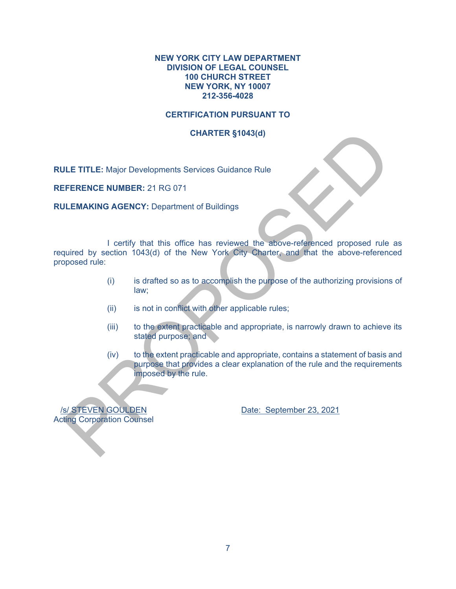#### **NEW YORK CITY LAW DEPARTMENT DIVISION OF LEGAL COUNSEL 100 CHURCH STREET NEW YORK, NY 10007 212-356-4028**

## **CERTIFICATION PURSUANT TO**

## **CHARTER §1043(d)**

**RULE TITLE:** Major Developments Services Guidance Rule

**REFERENCE NUMBER:** 21 RG 071

**RULEMAKING AGENCY:** Department of Buildings

CHARTER \$1043(d)<br>
ILE TITLE: Major Developments Services Guidance Rue<br>
FERENCE NUMBER: 21 RG 071<br>
1 certify that this office has reviewed the above-referenced proposed rule as<br>
1 certify that this office has reviewed the a I certify that this office has reviewed the above-referenced proposed rule as required by section 1043(d) of the New York City Charter, and that the above-referenced proposed rule:

- (i) is drafted so as to accomplish the purpose of the authorizing provisions of law;
- (ii) is not in conflict with other applicable rules;
- (iii) to the extent practicable and appropriate, is narrowly drawn to achieve its stated purpose; and
- (iv) to the extent practicable and appropriate, contains a statement of basis and purpose that provides a clear explanation of the rule and the requirements imposed by the rule.

Acting Corporation Counsel

/s/ STEVEN GOULDEN Date: September 23, 2021